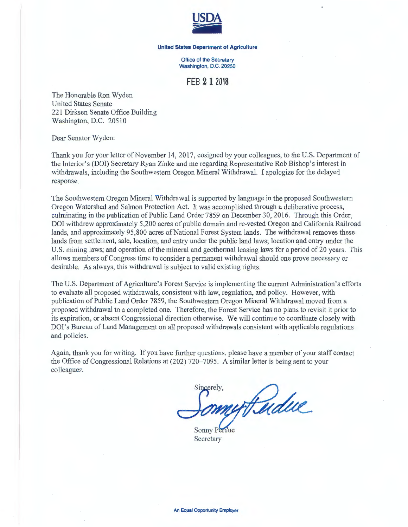

## **United States Department of Agriculture**

Office of the Secretary Washington, D.C. 20250

## **FEB 2 1 2018**

The Honorable Ron Wyden United States Senate 221 Dirksen Senate Office Building Washington, D.C. 20510

Dear Senator Wyden:

Thank you for your letter of November 14, 2017, cosigned by your colleagues, to the U.S. Department of the Interior's (DOI) Secretary Ryan Zinke and me regarding Representative Rob Bishop's interest in withdrawals, including the Southwestern Oregon Mineral Withdrawal. I apologize for the delayed response.

The Southwestern Oregon Mineral Withdrawal is supported by language in the proposed Southwestern Oregon Watershed and Salmon Protection Act. It was accomplished through a deliberative process, culminating in the publication of Public Land Order 7859 on December30, 2016. Through this Order, DOI withdrew approximately 5,200 acres of public domain and re-vested Oregon and California Railroad lands, and approximately 95,800 acres of National Forest System lands. The withdrawal removes these lands from settlement, sale, location, and entry under the public land laws; location and entry under the U.S. mining laws; and operation of the mineral and geothermal leasing laws for a period of 20 years. This allows members of Congress time to consider a permanent withdrawal should one prove necessary or desirable. As always, this withdrawal is subject to valid existing rights.

The U.S. Department of Agriculture's Forest Service is implementing the current Administration's efforts to evaluate all proposed withdrawals, consistent with law, regulation, and policy. However, with publication of Public Land Order 7859, the Southwestern Oregon Mineral Withdrawal moved from a proposed withdrawal to a completed one. Therefore, the Forest Service has no plans to revisit it prior to its expiration, or absent Congressional direction otherwise. We will continue to coordinate closely with DOI's Bureau of Land Management on all proposed withdrawals consistent with applicable regulations and policies.

Again, thank you for writing. If you have further questions, please have a member of your staff contact the Office of Congressional Relations at (202) 720-7095 . A similar letter is being sent to your colleagues.

Sincerely Fudue

Sonny P Secretary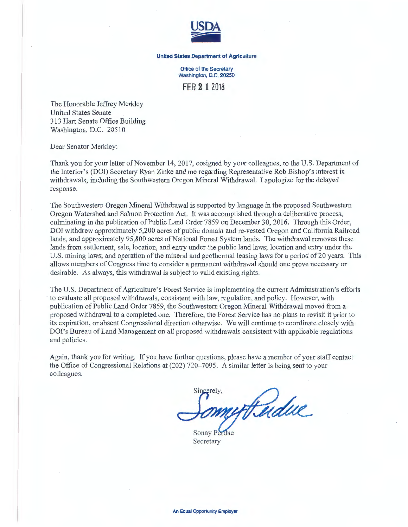

## **United States Department of Agriculture**

Office of the Secretary Washington, D.C. 20250

**FEB 2 1** 2018

The Honorable Jeffrey Merkley United States Senate 313 Hart Senate Office Building Washington, D.C. 20510

Dear Senator Merkley:

Thank you for your letter of November 14, 2017, cosigned by your colleagues, to the U.S. Department of the Interior's (DOI) Secretary Ryan Zinke and me regarding Representative Rob Bishop's interest in withdrawals, including the Southwestern Oregon Mineral Withdrawal. I apologize for the delayed response.

The Southwestern Oregon Mineral Withdrawal is supported by language in the proposed Southwestern Oregon Watershed and Salmon Protection Act. It was accomplished through a deliberative process, culminating in the publication of Public Land Order 7859 on December 30, 2016. Through this Order, DOI withdrew approximately 5,200 acres of public domain and re-vested Oregon and California Railroad lands, and approximately 95,800 acres of National Forest System lands. The withdrawal removes these lands from settlement, sale, location, and entry under the public land laws; location and entry under the U.S. mining laws; and operation of the mineral and geothermal leasing laws for a period of 20 years. This allows members of Congress time to consider a permanent withdrawal should one prove necessary or desirable. As always, this withdrawal is subject to valid existing rights.

The U.S. Department of Agriculture's Forest Service is implementing the current Administration's efforts to evaluate all proposed withdrawals, consistent with law, regulation, and policy. However, with publication of Public Land Order 7859, the Southwestern Oregon Mineral Withdrawal moved from a proposed withdrawal to a completed one. Therefore, the Forest Service has no plans to revisit it prior to its expiration, or absent Congressional direction otherwise. We will continue to coordinate closely with DOI's Bureau of Land Management on all proposed withdrawals consistent with applicable regulations and policies.

Again, thank you for writing. If you have further questions, please have a member of your staff contact the Office of Congressional Relations at (202) 720-7095. A similar letter is being sent to your colleagues.

urthudue

Sonny Perdue Secretary